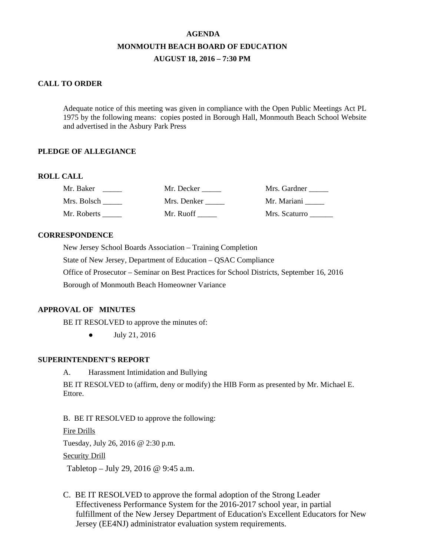# **AGENDA MONMOUTH BEACH BOARD OF EDUCATION AUGUST 18, 2016 – 7:30 PM**

## **CALL TO ORDER**

Adequate notice of this meeting was given in compliance with the Open Public Meetings Act PL 1975 by the following means: copies posted in Borough Hall, Monmouth Beach School Website and advertised in the Asbury Park Press

# **PLEDGE OF ALLEGIANCE**

#### **ROLL CALL**

| Mr. Baker   | Mr. Decker  | Mrs. Gardner  |
|-------------|-------------|---------------|
| Mrs. Bolsch | Mrs. Denker | Mr. Mariani   |
| Mr. Roberts | Mr. Ruoff   | Mrs. Scaturro |

#### **CORRESPONDENCE**

New Jersey School Boards Association – Training Completion State of New Jersey, Department of Education – QSAC Compliance Office of Prosecutor – Seminar on Best Practices for School Districts, September 16, 2016 Borough of Monmouth Beach Homeowner Variance

# **APPROVAL OF MINUTES**

BE IT RESOLVED to approve the minutes of:

● July 21, 2016

# **SUPERINTENDENT'S REPORT**

A. Harassment Intimidation and Bullying

BE IT RESOLVED to (affirm, deny or modify) the HIB Form as presented by Mr. Michael E. Ettore.

B. BE IT RESOLVED to approve the following:

Fire Drills

Tuesday, July 26, 2016 @ 2:30 p.m.

#### Security Drill

Tabletop – July 29, 2016 @ 9:45 a.m.

C. BE IT RESOLVED to approve the formal adoption of the Strong Leader Effectiveness Performance System for the 2016-2017 school year, in partial fulfillment of the New Jersey Department of Education's Excellent Educators for New Jersey (EE4NJ) administrator evaluation system requirements.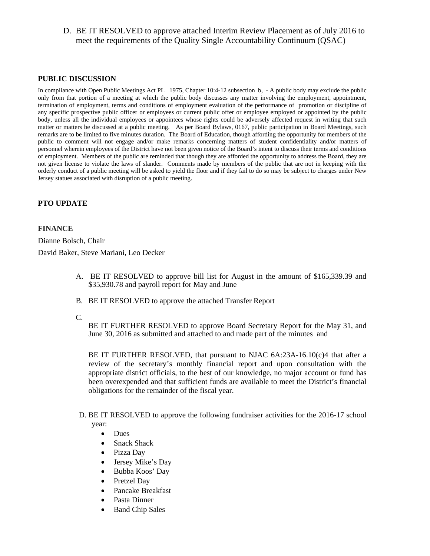D. BE IT RESOLVED to approve attached Interim Review Placement as of July 2016 to meet the requirements of the Quality Single Accountability Continuum (QSAC)

## **PUBLIC DISCUSSION**

In compliance with Open Public Meetings Act PL 1975, Chapter 10:4-12 subsection b, - A public body may exclude the public only from that portion of a meeting at which the public body discusses any matter involving the employment, appointment, termination of employment, terms and conditions of employment evaluation of the performance of promotion or discipline of any specific prospective public officer or employees or current public offer or employee employed or appointed by the public body, unless all the individual employees or appointees whose rights could be adversely affected request in writing that such matter or matters be discussed at a public meeting. As per Board Bylaws, 0167, public participation in Board Meetings, such remarks are to be limited to five minutes duration. The Board of Education, though affording the opportunity for members of the public to comment will not engage and/or make remarks concerning matters of student confidentiality and/or matters of personnel wherein employees of the District have not been given notice of the Board's intent to discuss their terms and conditions of employment. Members of the public are reminded that though they are afforded the opportunity to address the Board, they are not given license to violate the laws of slander. Comments made by members of the public that are not in keeping with the orderly conduct of a public meeting will be asked to yield the floor and if they fail to do so may be subject to charges under New Jersey statues associated with disruption of a public meeting.

## **PTO UPDATE**

#### **FINANCE**

Dianne Bolsch, Chair

David Baker, Steve Mariani, Leo Decker

- A. BE IT RESOLVED to approve bill list for August in the amount of \$165,339.39 and \$35,930.78 and payroll report for May and June
- B. BE IT RESOLVED to approve the attached Transfer Report
- C.

BE IT FURTHER RESOLVED to approve Board Secretary Report for the May 31, and June 30, 2016 as submitted and attached to and made part of the minutes and

BE IT FURTHER RESOLVED, that pursuant to NJAC 6A:23A-16.10(c)4 that after a review of the secretary's monthly financial report and upon consultation with the appropriate district officials, to the best of our knowledge, no major account or fund has been overexpended and that sufficient funds are available to meet the District's financial obligations for the remainder of the fiscal year.

- D. BE IT RESOLVED to approve the following fundraiser activities for the 2016-17 school year:
	- Dues
	- Snack Shack
	- Pizza Day
	- Jersey Mike's Day
	- Bubba Koos' Day
	- Pretzel Day
	- Pancake Breakfast
	- Pasta Dinner
	- Band Chip Sales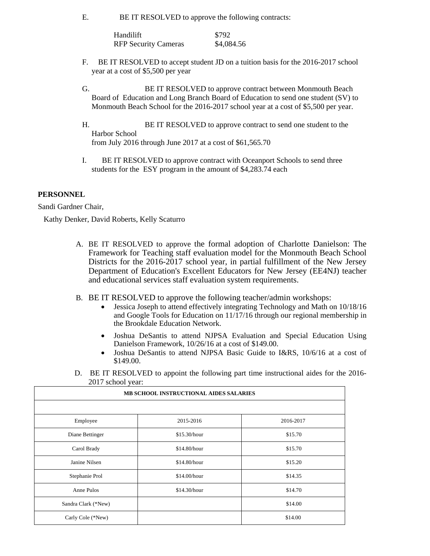E. BE IT RESOLVED to approve the following contracts:

| Handilift                   | \$792      |
|-----------------------------|------------|
| <b>RFP Security Cameras</b> | \$4,084.56 |

- F. BE IT RESOLVED to accept student JD on a tuition basis for the 2016-2017 school year at a cost of \$5,500 per year
- G. BE IT RESOLVED to approve contract between Monmouth Beach Board of Education and Long Branch Board of Education to send one student (SV) to Monmouth Beach School for the 2016-2017 school year at a cost of \$5,500 per year.
- H. BE IT RESOLVED to approve contract to send one student to the Harbor School from July 2016 through June 2017 at a cost of \$61,565.70
- I. BE IT RESOLVED to approve contract with Oceanport Schools to send three students for the ESY program in the amount of \$4,283.74 each

## **PERSONNEL**

Sandi Gardner Chair,

Kathy Denker, David Roberts, Kelly Scaturro

- A. BE IT RESOLVED to approve the formal adoption of Charlotte Danielson: The Framework for Teaching staff evaluation model for the Monmouth Beach School Districts for the 2016-2017 school year, in partial fulfillment of the New Jersey Department of Education's Excellent Educators for New Jersey (EE4NJ) teacher and educational services staff evaluation system requirements.
- B. BE IT RESOLVED to approve the following teacher/admin workshops:
	- Jessica Joseph to attend effectively integrating Technology and Math on  $10/18/16$ and Google Tools for Education on 11/17/16 through our regional membership in the Brookdale Education Network.
	- Joshua DeSantis to attend NJPSA Evaluation and Special Education Using Danielson Framework, 10/26/16 at a cost of \$149.00.
	- Joshua DeSantis to attend NJPSA Basic Guide to I&RS, 10/6/16 at a cost of \$149.00.
- D. BE IT RESOLVED to appoint the following part time instructional aides for the 2016- 2017 school year:

| MB SCHOOL INSTRUCTIONAL AIDES SALARIES |              |           |
|----------------------------------------|--------------|-----------|
|                                        |              |           |
| Employee                               | 2015-2016    | 2016-2017 |
| Diane Bettinger                        | \$15.30/hour | \$15.70   |
| Carol Brady                            | \$14.80/hour | \$15.70   |
| Janine Nilsen                          | \$14.80/hour | \$15.20   |
| Stephanie Prol                         | \$14.00/hour | \$14.35   |
| Anne Pulos                             | \$14.30/hour | \$14.70   |
| Sandra Clark (*New)                    |              | \$14.00   |
| Carly Cole (*New)                      |              | \$14.00   |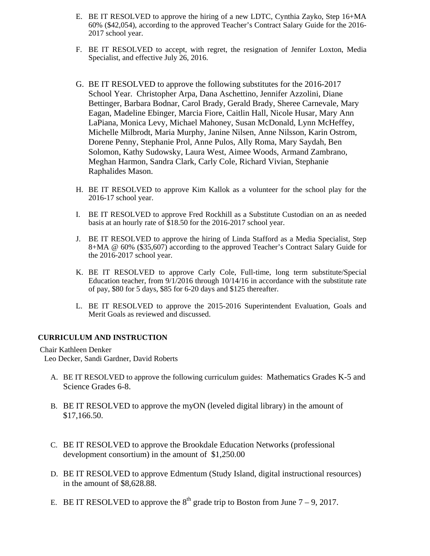- E. BE IT RESOLVED to approve the hiring of a new LDTC, Cynthia Zayko, Step 16+MA 60% (\$42,054), according to the approved Teacher's Contract Salary Guide for the 2016- 2017 school year.
- F. BE IT RESOLVED to accept, with regret, the resignation of Jennifer Loxton, Media Specialist, and effective July 26, 2016.
- G. BE IT RESOLVED to approve the following substitutes for the 2016-2017 School Year. Christopher Arpa, Dana Aschettino, Jennifer Azzolini, Diane Bettinger, Barbara Bodnar, Carol Brady, Gerald Brady, Sheree Carnevale, Mary Eagan, Madeline Ebinger, Marcia Fiore, Caitlin Hall, Nicole Husar, Mary Ann LaPiana, Monica Levy, Michael Mahoney, Susan McDonald, Lynn McHeffey, Michelle Milbrodt, Maria Murphy, Janine Nilsen, Anne Nilsson, Karin Ostrom, Dorene Penny, Stephanie Prol, Anne Pulos, Ally Roma, Mary Saydah, Ben Solomon, Kathy Sudowsky, Laura West, Aimee Woods, Armand Zambrano, Meghan Harmon, Sandra Clark, Carly Cole, Richard Vivian, Stephanie Raphalides Mason.
- H. BE IT RESOLVED to approve Kim Kallok as a volunteer for the school play for the 2016-17 school year.
- I. BE IT RESOLVED to approve Fred Rockhill as a Substitute Custodian on an as needed basis at an hourly rate of \$18.50 for the 2016-2017 school year.
- J. BE IT RESOLVED to approve the hiring of Linda Stafford as a Media Specialist, Step 8+MA @ 60% (\$35,607) according to the approved Teacher's Contract Salary Guide for the 2016-2017 school year.
- K. BE IT RESOLVED to approve Carly Cole, Full-time, long term substitute/Special Education teacher, from 9/1/2016 through 10/14/16 in accordance with the substitute rate of pay, \$80 for 5 days, \$85 for 6-20 days and \$125 thereafter.
- L. BE IT RESOLVED to approve the 2015-2016 Superintendent Evaluation, Goals and Merit Goals as reviewed and discussed.

# **CURRICULUM AND INSTRUCTION**

 Chair Kathleen Denker Leo Decker, Sandi Gardner, David Roberts

- A. BE IT RESOLVED to approve the following curriculum guides: Mathematics Grades K-5 and Science Grades 6-8.
- B. BE IT RESOLVED to approve the myON (leveled digital library) in the amount of \$17,166.50.
- C. BE IT RESOLVED to approve the Brookdale Education Networks (professional development consortium) in the amount of \$1,250.00
- D. BE IT RESOLVED to approve Edmentum (Study Island, digital instructional resources) in the amount of \$8,628.88.
- E. BE IT RESOLVED to approve the  $8<sup>th</sup>$  grade trip to Boston from June 7 9, 2017.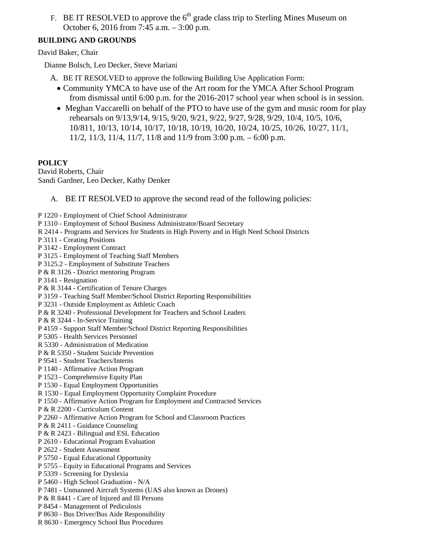F. BE IT RESOLVED to approve the  $6<sup>th</sup>$  grade class trip to Sterling Mines Museum on October 6, 2016 from 7:45 a.m. – 3:00 p.m.

# **BUILDING AND GROUNDS**

David Baker, Chair

Dianne Bolsch, Leo Decker, Steve Mariani

- A. BE IT RESOLVED to approve the following Building Use Application Form:
	- Community YMCA to have use of the Art room for the YMCA After School Program from dismissal until 6:00 p.m. for the 2016-2017 school year when school is in session.
	- Meghan Vaccarelli on behalf of the PTO to have use of the gym and music room for play rehearsals on 9/13,9/14, 9/15, 9/20, 9/21, 9/22, 9/27, 9/28, 9/29, 10/4, 10/5, 10/6, 10/811, 10/13, 10/14, 10/17, 10/18, 10/19, 10/20, 10/24, 10/25, 10/26, 10/27, 11/1, 11/2, 11/3, 11/4, 11/7, 11/8 and 11/9 from 3:00 p.m. – 6:00 p.m.

# **POLICY**

David Roberts, Chair Sandi Gardner, Leo Decker, Kathy Denker

- A. BE IT RESOLVED to approve the second read of the following policies:
- P 1220 Employment of Chief School Administrator
- P 1310 Employment of School Business Administrator/Board Secretary
- R 2414 Programs and Services for Students in High Poverty and in High Need School Districts
- P 3111 Creating Positions
- P 3142 Employment Contract
- P 3125 Employment of Teaching Staff Members
- P 3125.2 Employment of Substitute Teachers
- P & R 3126 District mentoring Program
- P 3141 Resignation
- P & R 3144 Certification of Tenure Charges
- P 3159 Teaching Staff Member/School District Reporting Responsibilities
- P 3231 Outside Employment as Athletic Coach
- P & R 3240 Professional Development for Teachers and School Leaders
- P & R 3244 In-Service Training
- P 4159 Support Staff Member/School District Reporting Responsibilities
- P 5305 Health Services Personnel
- R 5330 Administration of Medication
- P & R 5350 Student Suicide Prevention
- P 9541 Student Teachers/Interns
- P 1140 Affirmative Action Program
- P 1523 Comprehensive Equity Plan
- P 1530 Equal Employment Opportunities
- R 1530 Equal Employment Opportunity Complaint Procedure
- P 1550 Affirmative Action Program for Employment and Contracted Services
- P & R 2200 Curriculum Content
- P 2260 Affirmative Action Program for School and Classroom Practices
- P & R 2411 Guidance Counseling
- P & R 2423 Bilingual and ESL Education
- P 2610 Educational Program Evaluation
- P 2622 Student Assessment
- P 5750 Equal Educational Opportunity
- P 5755 Equity in Educational Programs and Services
- P 5339 Screening for Dyslexia
- P 5460 High School Graduation N/A
- P 7481 Unmanned Aircraft Systems (UAS also known as Drones)
- P & R 8441 Care of Injured and Ill Persons
- P 8454 Management of Pediculosis
- P 8630 Bus Driver/Bus Aide Responsibility
- R 8630 Emergency School Bus Procedures